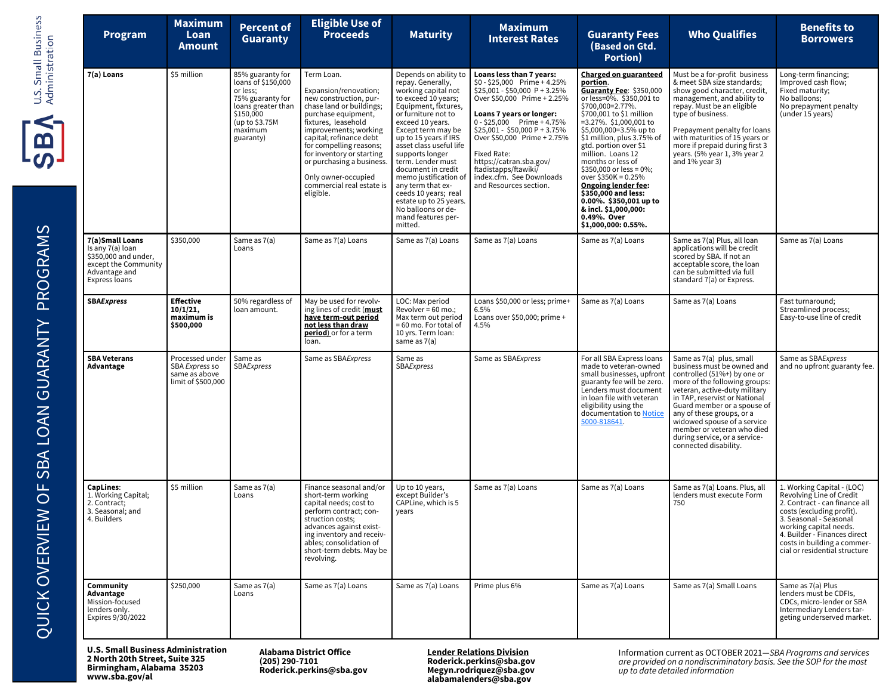| Program                                                                                                               | <b>Maximum</b><br>Loan<br>Amount                                         | <b>Percent of</b><br><b>Guaranty</b>                                                                                                                | <b>Eligible Use of<br/>Proceeds</b>                                                                                                                                                                                                                                                                                                               | <b>Maturity</b>                                                                                                                                                                                                                                                                                                                                                                                                                                           | <b>Maximum</b><br><b>Interest Rates</b>                                                                                                                                                                                                                                                                                                                                     | <b>Guaranty Fees</b><br>(Based on Gtd.<br><b>Portion</b> )                                                                                                                                                                                                                                                                                                                                                                                                                                                      | <b>Who Qualifies</b>                                                                                                                                                                                                                                                                                                                                                        | <b>Benefits to</b><br><b>Borrowers</b>                                                                                                                                                                                                                                   |
|-----------------------------------------------------------------------------------------------------------------------|--------------------------------------------------------------------------|-----------------------------------------------------------------------------------------------------------------------------------------------------|---------------------------------------------------------------------------------------------------------------------------------------------------------------------------------------------------------------------------------------------------------------------------------------------------------------------------------------------------|-----------------------------------------------------------------------------------------------------------------------------------------------------------------------------------------------------------------------------------------------------------------------------------------------------------------------------------------------------------------------------------------------------------------------------------------------------------|-----------------------------------------------------------------------------------------------------------------------------------------------------------------------------------------------------------------------------------------------------------------------------------------------------------------------------------------------------------------------------|-----------------------------------------------------------------------------------------------------------------------------------------------------------------------------------------------------------------------------------------------------------------------------------------------------------------------------------------------------------------------------------------------------------------------------------------------------------------------------------------------------------------|-----------------------------------------------------------------------------------------------------------------------------------------------------------------------------------------------------------------------------------------------------------------------------------------------------------------------------------------------------------------------------|--------------------------------------------------------------------------------------------------------------------------------------------------------------------------------------------------------------------------------------------------------------------------|
| 7(a) Loans                                                                                                            | \$5 million                                                              | 85% guaranty for<br>loans of \$150,000<br>or less;<br>75% guaranty for<br>loans greater than<br>\$150,000<br>(up to \$3.75M<br>maximum<br>guaranty) | Term Loan.<br>Expansion/renovation:<br>new construction, pur-<br>chase land or buildings;<br>purchase equipment,<br>fixtures, leasehold<br>improvements; working<br>capital; refinance debt<br>for compelling reasons;<br>for inventory or starting<br>or purchasing a business.<br>Only owner-occupied<br>commercial real estate is<br>eligible. | Depends on ability to<br>repay. Generally,<br>working capital not<br>to exceed 10 years;<br>Equipment, fixtures,<br>or furniture not to<br>exceed 10 years.<br>Except term may be<br>up to 15 years if IRS<br>asset class useful life<br>supports longer<br>term. Lender must<br>document in credit<br>memo justification o<br>any term that ex-<br>ceeds 10 years; real<br>estate up to 25 years.<br>No balloons or de-<br>mand features per-<br>mitted. | Loans less than 7 years:<br>\$0 - \$25,000 Prime + 4.25%<br>\$25,001 - \$50,000 P + 3.25%<br>Over \$50,000 Prime + 2.25%<br>Loans 7 years or longer:<br>$0 - $25,000$ Prime + 4.75%<br>\$25,001 - \$50,000 P + 3.75%<br>Over \$50,000 Prime + 2.75%<br>Fixed Rate:<br>https://catran.sba.gov/<br>ftadistapps/ftawiki/<br>index.cfm. See Downloads<br>and Resources section. | <b>Charged on guaranteed</b><br>portion.<br>Guaranty Fee: \$350,000<br>or less=0%. \$350,001 to<br>\$700,000=2.77%.<br>\$700,001 to \$1 million<br>$=3.27\%$ . \$1,000,001 to<br>\$5,000,000=3.5% up to<br>\$1 million, plus 3.75% of<br>gtd. portion over \$1<br>million. Loans 12<br>months or less of<br>\$350,000 or less = $0\%$ ;<br>over \$350K = 0.25%<br><b>Ongoing lender fee:</b><br>\$350,000 and less:<br>$0.00\%$ . \$350,001 up to<br>& incl. \$1,000,000:<br>0.49%. Over<br>\$1,000,000: 0.55%. | Must be a for-profit business<br>& meet SBA size standards;<br>show good character, credit,<br>management, and ability to<br>repay. Must be an eligible<br>type of business.<br>Prepayment penalty for loans<br>with maturities of 15 years or<br>more if prepaid during first 3<br>years. (5% year 1, 3% year 2<br>and 1% year 3)                                          | Long-term financing;<br>Improved cash flow;<br>Fixed maturity;<br>No balloons;<br>No prepayment penalty<br>(under 15 years)                                                                                                                                              |
| 7(a)Small Loans<br>Is any 7(a) loan<br>\$350,000 and under,<br>except the Community<br>Advantage and<br>Express loans | \$350,000                                                                | Same as 7(a)<br>Loans                                                                                                                               | Same as 7(a) Loans                                                                                                                                                                                                                                                                                                                                | Same as 7(a) Loans                                                                                                                                                                                                                                                                                                                                                                                                                                        | Same as 7(a) Loans                                                                                                                                                                                                                                                                                                                                                          | Same as 7(a) Loans                                                                                                                                                                                                                                                                                                                                                                                                                                                                                              | Same as 7(a) Plus, all loan<br>applications will be credit<br>scored by SBA. If not an<br>acceptable score, the loan<br>can be submitted via full<br>standard 7(a) or Express.                                                                                                                                                                                              | Same as 7(a) Loans                                                                                                                                                                                                                                                       |
| <b>SBAExpress</b>                                                                                                     | <b>Effective</b><br>10/1/21.<br>maximum is<br>\$500,000                  | 50% regardless of<br>loan amount.                                                                                                                   | May be used for revolv-<br>ing lines of credit (must<br>have term-out period<br>not less than draw<br><b>period</b> ) or for a term<br>loan.                                                                                                                                                                                                      | LOC: Max period<br>Revolver = $60$ mo.;<br>Max term out period<br>= 60 mo. For total of<br>10 yrs. Term loan:<br>same as 7(a)                                                                                                                                                                                                                                                                                                                             | Loans \$50,000 or less; prime+<br>6.5%<br>Loans over \$50,000; prime +<br>4.5%                                                                                                                                                                                                                                                                                              | Same as 7(a) Loans                                                                                                                                                                                                                                                                                                                                                                                                                                                                                              | Same as 7(a) Loans                                                                                                                                                                                                                                                                                                                                                          | Fast turnaround;<br>Streamlined process;<br>Easy-to-use line of credit                                                                                                                                                                                                   |
| <b>SBA Veterans</b><br>Advantage                                                                                      | Processed under<br>SBA Express so<br>same as above<br>limit of \$500,000 | Same as<br>SBAExpress                                                                                                                               | Same as SBAExpress                                                                                                                                                                                                                                                                                                                                | Same as<br>SBAExpress                                                                                                                                                                                                                                                                                                                                                                                                                                     | Same as SBAExpress                                                                                                                                                                                                                                                                                                                                                          | For all SBA Express loans<br>made to veteran-owned<br>small businesses, upfront<br>guaranty fee will be zero.<br>Lenders must document<br>in loan file with veteran<br>eligibility using the<br>documentation to Notice<br>5000-818641.                                                                                                                                                                                                                                                                         | Same as 7(a) plus, small<br>business must be owned and<br>controlled (51%+) by one or<br>more of the following groups:<br>veteran, active-duty military<br>in TAP, reservist or National<br>Guard member or a spouse of<br>any of these groups, or a<br>widowed spouse of a service<br>member or veteran who died<br>during service, or a service-<br>connected disability. | Same as SBAExpress<br>and no upfront guaranty fee.                                                                                                                                                                                                                       |
| CapLines:<br>1. Working Capital;<br>2. Contract;<br>3. Seasonal; and<br>4. Builders                                   | \$5 million                                                              | Same as 7(a)<br>Loans                                                                                                                               | Finance seasonal and/or<br>short-term working<br>capital needs; cost to<br>perform contract; con-<br>struction costs;<br>advances against exist-<br>ing inventory and receiv-<br>ables; consolidation of<br>short-term debts. May be<br>revolving.                                                                                                | Up to 10 years.<br>except Builder's<br>CAPLine, which is 5<br>years                                                                                                                                                                                                                                                                                                                                                                                       | Same as 7(a) Loans                                                                                                                                                                                                                                                                                                                                                          | Same as 7(a) Loans                                                                                                                                                                                                                                                                                                                                                                                                                                                                                              | Same as 7(a) Loans. Plus, all<br>lenders must execute Form<br>750                                                                                                                                                                                                                                                                                                           | 1. Working Capital - (LOC)<br>Revolving Line of Credit<br>2. Contract - can finance all<br>costs (excluding profit).<br>3. Seasonal - Seasonal<br>working capital needs.<br>4. Builder - Finances direct<br>costs in building a commer-<br>cial or residential structure |
| Community<br>Advantage<br>Mission-focused<br>lenders only.<br>Expires 9/30/2022                                       | \$250,000                                                                | Same as 7(a)<br>Loans                                                                                                                               | Same as 7(a) Loans                                                                                                                                                                                                                                                                                                                                | Same as 7(a) Loans                                                                                                                                                                                                                                                                                                                                                                                                                                        | Prime plus 6%                                                                                                                                                                                                                                                                                                                                                               | Same as 7(a) Loans                                                                                                                                                                                                                                                                                                                                                                                                                                                                                              | Same as 7(a) Small Loans                                                                                                                                                                                                                                                                                                                                                    | Same as 7(a) Plus<br>lenders must be CDFIs,<br>CDCs, micro-lender or SBA<br>Intermediary Lenders tar-<br>geting underserved market.                                                                                                                                      |

**U.S. Small Business Administration 2 North 20th Street, Suite 325 Birmingham, Alabama 35203 www.sba.gov/al**

**Alabama District Office (205) 290-7101 Roderick.perkins@sba.gov**

**Lender Relations Division Roderick.perkins@sba.gov Megyn.rodriquez@sba.gov alabamalenders@sba.gov**

Information current as OCTOBER 2021—*SBA Programs and services are provided on a nondiscriminatory basis. See the SOP for the most up to date detailed information*

 $\frac{1}{3}$ B $\frac{1}{3}$ 

U.S. Small Business<br>Administration